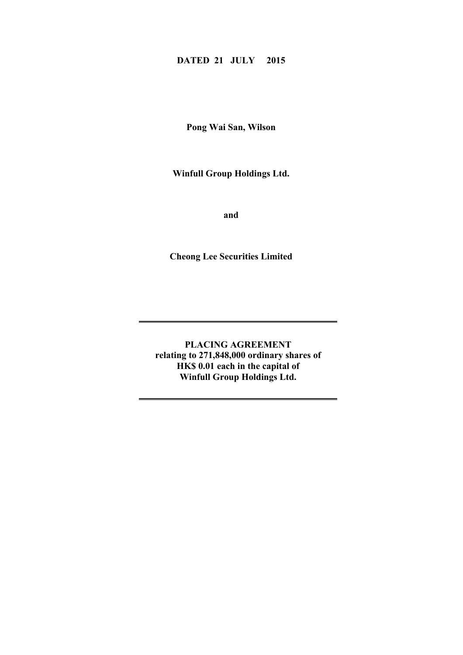# **DATED 21 JULY 2015**

**Pong Wai San, Wilson**

**Winfull Group Holdings Ltd.**

**and**

**Cheong Lee Securities Limited**

**PLACING AGREEMENT relating to 271,848,000 ordinary shares of HK\$ 0.01 each in the capital of Winfull Group Holdings Ltd.**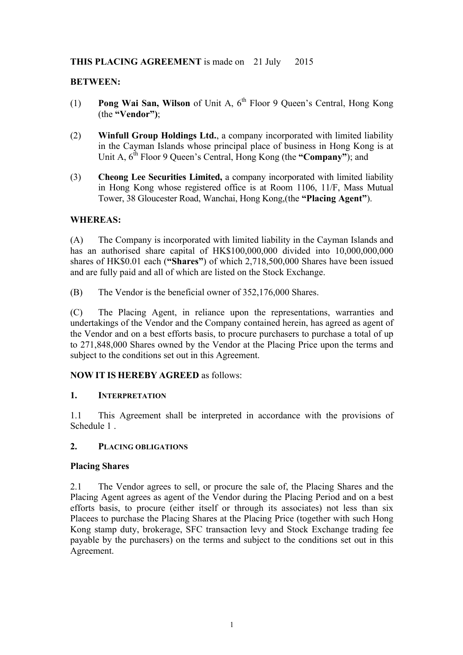# **THIS PLACING AGREEMENT** is made on 21 July 2015

# **BETWEEN:**

- (1) **Pong Wai San, Wilson** of Unit A, 6<sup>th</sup> Floor 9 Oueen's Central, Hong Kong (the **"Vendor")**;
- (2) **Winfull Group Holdings Ltd.**, a company incorporated with limited liability in the Cayman Islands whose principal place of business in Hong Kong is at Unit A,  $6^{th}$  Floor 9 Queen's Central, Hong Kong (the "**Company**"); and
- (3) **Cheong Lee Securities Limited,** a company incorporated with limited liability in Hong Kong whose registered office is at Room 1106, 11/F, Mass Mutual Tower, 38 Gloucester Road, Wanchai, Hong Kong,(the **"Placing Agent"**).

## **WHEREAS:**

(A) The Company is incorporated with limited liability in the Cayman Islands and has an authorised share capital of HK\$100,000,000 divided into 10,000,000,000 shares of HK\$0.01 each (**"Shares"**) of which 2,718,500,000 Shares have been issued and are fully paid and all of which are listed on the Stock Exchange.

(B) The Vendor is the beneficial owner of 352,176,000 Shares.

(C) The Placing Agent, in reliance upon the representations, warranties and undertakings of the Vendor and the Company contained herein, has agreed as agent of the Vendor and on a best efforts basis, to procure purchasers to purchase a total of up to 271,848,000 Shares owned by the Vendor at the Placing Price upon the terms and subject to the conditions set out in this Agreement.

# **NOW IT IS HEREBY AGREED** as follows:

### **1. INTERPRETATION**

1.1 This Agreement shall be interpreted in accordance with the provisions of Schedule 1 .

### **2. PLACING OBLIGATIONS**

### **Placing Shares**

2.1 The Vendor agrees to sell, or procure the sale of, the Placing Shares and the Placing Agent agrees as agent of the Vendor during the Placing Period and on a best efforts basis, to procure (either itself or through its associates) not less than six Placees to purchase the Placing Shares at the Placing Price (together with such Hong Kong stamp duty, brokerage, SFC transaction levy and Stock Exchange trading fee payable by the purchasers) on the terms and subject to the conditions set out in this Agreement.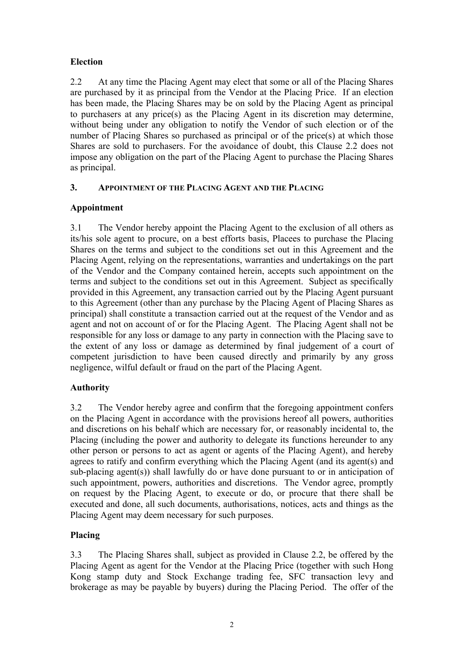# **Election**

2.2 At any time the Placing Agent may elect that some or all of the Placing Shares are purchased by it as principal from the Vendor at the Placing Price. If an election has been made, the Placing Shares may be on sold by the Placing Agent as principal to purchasers at any price(s) as the Placing Agent in its discretion may determine, without being under any obligation to notify the Vendor of such election or of the number of Placing Shares so purchased as principal or of the price(s) at which those Shares are sold to purchasers. For the avoidance of doubt, this Clause 2.2 does not impose any obligation on the part of the Placing Agent to purchase the Placing Shares as principal.

# **3. APPOINTMENT OF THE PLACING AGENT AND THE PLACING**

# **Appointment**

3.1 The Vendor hereby appoint the Placing Agent to the exclusion of all others as its/his sole agent to procure, on a best efforts basis, Placees to purchase the Placing Shares on the terms and subject to the conditions set out in this Agreement and the Placing Agent, relying on the representations, warranties and undertakings on the part of the Vendor and the Company contained herein, accepts such appointment on the terms and subject to the conditions set out in this Agreement. Subject as specifically provided in this Agreement, any transaction carried out by the Placing Agent pursuant to this Agreement (other than any purchase by the Placing Agent of Placing Shares as principal) shall constitute a transaction carried out at the request of the Vendor and as agent and not on account of or for the Placing Agent. The Placing Agent shall not be responsible for any loss or damage to any party in connection with the Placing save to the extent of any loss or damage as determined by final judgement of a court of competent jurisdiction to have been caused directly and primarily by any gross negligence, wilful default or fraud on the part of the Placing Agent.

# **Authority**

3.2 The Vendor hereby agree and confirm that the foregoing appointment confers on the Placing Agent in accordance with the provisions hereof all powers, authorities and discretions on his behalf which are necessary for, or reasonably incidental to, the Placing (including the power and authority to delegate its functions hereunder to any other person or persons to act as agent or agents of the Placing Agent), and hereby agrees to ratify and confirm everything which the Placing Agent (and its agent(s) and sub-placing agent(s)) shall lawfully do or have done pursuant to or in anticipation of such appointment, powers, authorities and discretions. The Vendor agree, promptly on request by the Placing Agent, to execute or do, or procure that there shall be executed and done, all such documents, authorisations, notices, acts and things as the Placing Agent may deem necessary for such purposes.

# **Placing**

3.3 The Placing Shares shall, subject as provided in Clause 2.2, be offered by the Placing Agent as agent for the Vendor at the Placing Price (together with such Hong Kong stamp duty and Stock Exchange trading fee, SFC transaction levy and brokerage as may be payable by buyers) during the Placing Period. The offer of the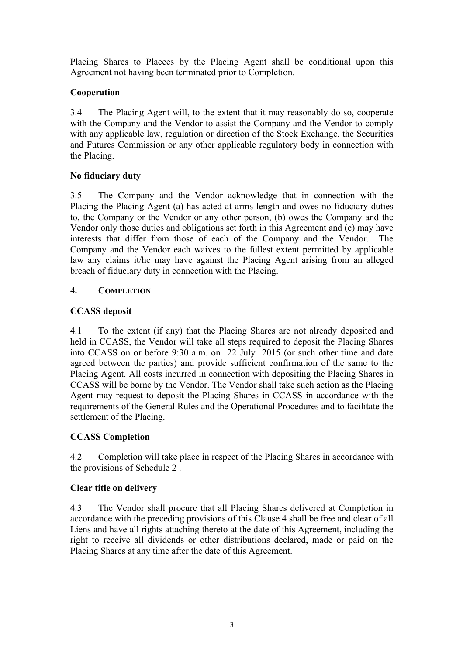Placing Shares to Placees by the Placing Agent shall be conditional upon this Agreement not having been terminated prior to Completion.

# **Cooperation**

3.4 The Placing Agent will, to the extent that it may reasonably do so, cooperate with the Company and the Vendor to assist the Company and the Vendor to comply with any applicable law, regulation or direction of the Stock Exchange, the Securities and Futures Commission or any other applicable regulatory body in connection with the Placing.

# **No fiduciary duty**

3.5 The Company and the Vendor acknowledge that in connection with the Placing the Placing Agent (a) has acted at arms length and owes no fiduciary duties to, the Company or the Vendor or any other person, (b) owes the Company and the Vendor only those duties and obligations set forth in this Agreement and (c) may have interests that differ from those of each of the Company and the Vendor. The Company and the Vendor each waives to the fullest extent permitted by applicable law any claims it/he may have against the Placing Agent arising from an alleged breach of fiduciary duty in connection with the Placing.

# **4. COMPLETION**

# **CCASS deposit**

4.1 To the extent (if any) that the Placing Shares are not already deposited and held in CCASS, the Vendor will take all steps required to deposit the Placing Shares into CCASS on or before 9:30 a.m. on 22 July 2015 (or such other time and date agreed between the parties) and provide sufficient confirmation of the same to the Placing Agent. All costs incurred in connection with depositing the Placing Shares in CCASS will be borne by the Vendor. The Vendor shall take such action as the Placing Agent may request to deposit the Placing Shares in CCASS in accordance with the requirements of the General Rules and the Operational Procedures and to facilitate the settlement of the Placing.

# **CCASS Completion**

4.2 Completion will take place in respect of the Placing Shares in accordance with the provisions of Schedule 2 .

# **Clear title on delivery**

4.3 The Vendor shall procure that all Placing Shares delivered at Completion in accordance with the preceding provisions of this Clause 4 shall be free and clear of all Liens and have all rights attaching thereto at the date of this Agreement, including the right to receive all dividends or other distributions declared, made or paid on the Placing Shares at any time after the date of this Agreement.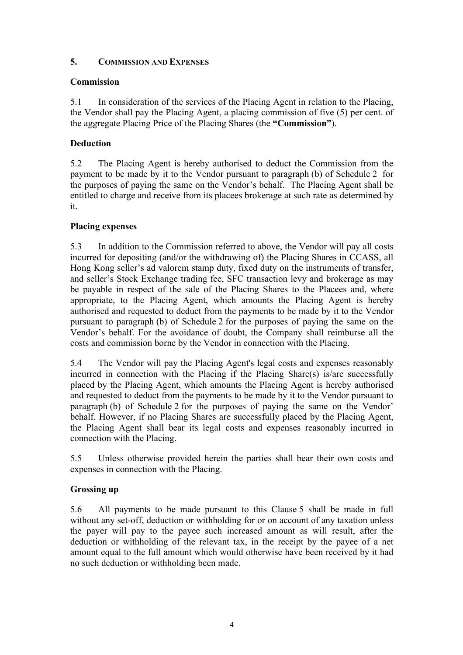# **5. COMMISSION AND EXPENSES**

# **Commission**

5.1 In consideration of the services of the Placing Agent in relation to the Placing, the Vendor shall pay the Placing Agent, a placing commission of five (5) per cent. of the aggregate Placing Price of the Placing Shares (the **"Commission"**).

# **Deduction**

5.2 The Placing Agent is hereby authorised to deduct the Commission from the payment to be made by it to the Vendor pursuant to paragraph (b) of Schedule 2 for the purposes of paying the same on the Vendor's behalf. The Placing Agent shall be entitled to charge and receive from its placees brokerage at such rate as determined by it.

# **Placing expenses**

5.3 In addition to the Commission referred to above, the Vendor will pay all costs incurred for depositing (and/or the withdrawing of) the Placing Shares in CCASS, all Hong Kong seller's ad valorem stamp duty, fixed duty on the instruments of transfer, and seller's Stock Exchange trading fee, SFC transaction levy and brokerage as may be payable in respect of the sale of the Placing Shares to the Placees and, where appropriate, to the Placing Agent, which amounts the Placing Agent is hereby authorised and requested to deduct from the payments to be made by it to the Vendor pursuant to paragraph (b) of Schedule 2 for the purposes of paying the same on the Vendor's behalf. For the avoidance of doubt, the Company shall reimburse all the costs and commission borne by the Vendor in connection with the Placing.

5.4 The Vendor will pay the Placing Agent's legal costs and expenses reasonably incurred in connection with the Placing if the Placing Share(s) is/are successfully placed by the Placing Agent, which amounts the Placing Agent is hereby authorised and requested to deduct from the payments to be made by it to the Vendor pursuant to paragraph (b) of Schedule 2 for the purposes of paying the same on the Vendor' behalf. However, if no Placing Shares are successfully placed by the Placing Agent, the Placing Agent shall bear its legal costs and expenses reasonably incurred in connection with the Placing.

5.5 Unless otherwise provided herein the parties shall bear their own costs and expenses in connection with the Placing.

# **Grossing up**

5.6 All payments to be made pursuant to this Clause 5 shall be made in full without any set-off, deduction or withholding for or on account of any taxation unless the payer will pay to the payee such increased amount as will result, after the deduction or withholding of the relevant tax, in the receipt by the payee of a net amount equal to the full amount which would otherwise have been received by it had no such deduction or withholding been made.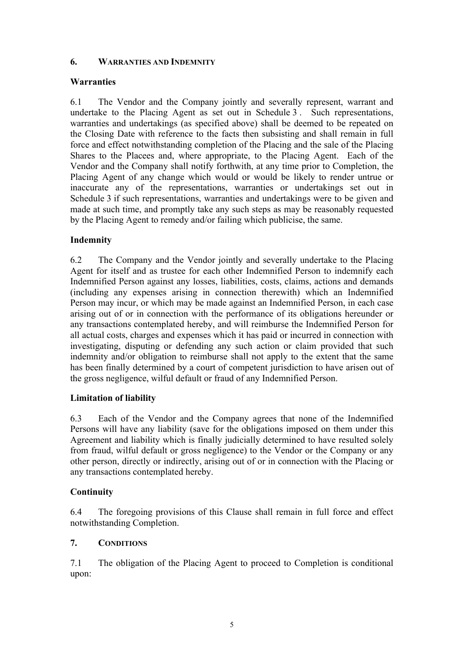# **6. WARRANTIES AND INDEMNITY**

# **Warranties**

6.1 The Vendor and the Company jointly and severally represent, warrant and undertake to the Placing Agent as set out in Schedule 3 . Such representations, warranties and undertakings (as specified above) shall be deemed to be repeated on the Closing Date with reference to the facts then subsisting and shall remain in full force and effect notwithstanding completion of the Placing and the sale of the Placing Shares to the Placees and, where appropriate, to the Placing Agent. Each of the Vendor and the Company shall notify forthwith, at any time prior to Completion, the Placing Agent of any change which would or would be likely to render untrue or inaccurate any of the representations, warranties or undertakings set out in Schedule 3 if such representations, warranties and undertakings were to be given and made at such time, and promptly take any such steps as may be reasonably requested by the Placing Agent to remedy and/or failing which publicise, the same.

# **Indemnity**

6.2 The Company and the Vendor jointly and severally undertake to the Placing Agent for itself and as trustee for each other Indemnified Person to indemnify each Indemnified Person against any losses, liabilities, costs, claims, actions and demands (including any expenses arising in connection therewith) which an Indemnified Person may incur, or which may be made against an Indemnified Person, in each case arising out of or in connection with the performance of its obligations hereunder or any transactions contemplated hereby, and will reimburse the Indemnified Person for all actual costs, charges and expenses which it has paid or incurred in connection with investigating, disputing or defending any such action or claim provided that such indemnity and/or obligation to reimburse shall not apply to the extent that the same has been finally determined by a court of competent jurisdiction to have arisen out of the gross negligence, wilful default or fraud of any Indemnified Person.

# **Limitation of liability**

6.3 Each of the Vendor and the Company agrees that none of the Indemnified Persons will have any liability (save for the obligations imposed on them under this Agreement and liability which is finally judicially determined to have resulted solely from fraud, wilful default or gross negligence) to the Vendor or the Company or any other person, directly or indirectly, arising out of or in connection with the Placing or any transactions contemplated hereby.

# **Continuity**

6.4 The foregoing provisions of this Clause shall remain in full force and effect notwithstanding Completion.

# **7. CONDITIONS**

7.1 The obligation of the Placing Agent to proceed to Completion is conditional upon: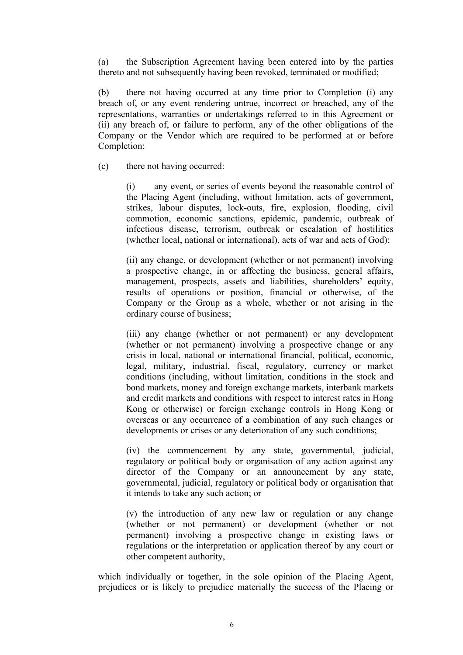(a) the Subscription Agreement having been entered into by the parties thereto and not subsequently having been revoked, terminated or modified;

(b) there not having occurred at any time prior to Completion (i) any breach of, or any event rendering untrue, incorrect or breached, any of the representations, warranties or undertakings referred to in this Agreement or (ii) any breach of, or failure to perform, any of the other obligations of the Company or the Vendor which are required to be performed at or before Completion;

(c) there not having occurred:

(i) any event, or series of events beyond the reasonable control of the Placing Agent (including, without limitation, acts of government, strikes, labour disputes, lock-outs, fire, explosion, flooding, civil commotion, economic sanctions, epidemic, pandemic, outbreak of infectious disease, terrorism, outbreak or escalation of hostilities (whether local, national or international), acts of war and acts of God);

(ii) any change, or development (whether or not permanent) involving a prospective change, in or affecting the business, general affairs, management, prospects, assets and liabilities, shareholders' equity, results of operations or position, financial or otherwise, of the Company or the Group as a whole, whether or not arising in the ordinary course of business;

(iii) any change (whether or not permanent) or any development (whether or not permanent) involving a prospective change or any crisis in local, national or international financial, political, economic, legal, military, industrial, fiscal, regulatory, currency or market conditions (including, without limitation, conditions in the stock and bond markets, money and foreign exchange markets, interbank markets and credit markets and conditions with respect to interest rates in Hong Kong or otherwise) or foreign exchange controls in Hong Kong or overseas or any occurrence of a combination of any such changes or developments or crises or any deterioration of any such conditions;

(iv) the commencement by any state, governmental, judicial, regulatory or political body or organisation of any action against any director of the Company or an announcement by any state, governmental, judicial, regulatory or political body or organisation that it intends to take any such action; or

(v) the introduction of any new law or regulation or any change (whether or not permanent) or development (whether or not permanent) involving a prospective change in existing laws or regulations or the interpretation or application thereof by any court or other competent authority,

which individually or together, in the sole opinion of the Placing Agent, prejudices or is likely to prejudice materially the success of the Placing or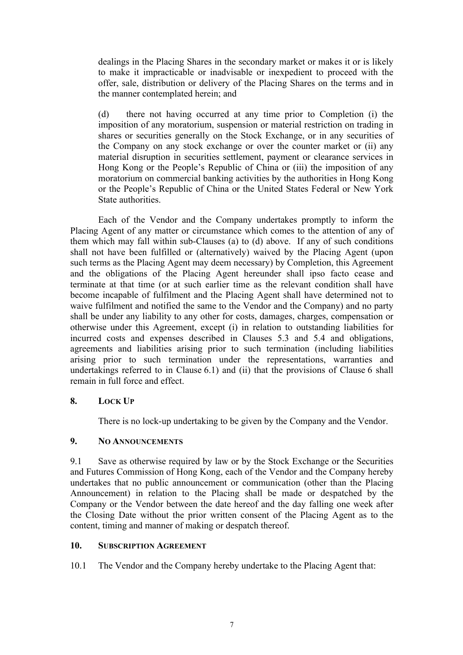dealings in the Placing Shares in the secondary market or makes it or is likely to make it impracticable or inadvisable or inexpedient to proceed with the offer, sale, distribution or delivery of the Placing Shares on the terms and in the manner contemplated herein; and

(d) there not having occurred at any time prior to Completion (i) the imposition of any moratorium, suspension or material restriction on trading in shares or securities generally on the Stock Exchange, or in any securities of the Company on any stock exchange or over the counter market or (ii) any material disruption in securities settlement, payment or clearance services in Hong Kong or the People's Republic of China or (iii) the imposition of any moratorium on commercial banking activities by the authorities in Hong Kong or the People's Republic of China or the United States Federal or New York State authorities.

Each of the Vendor and the Company undertakes promptly to inform the Placing Agent of any matter or circumstance which comes to the attention of any of them which may fall within sub-Clauses (a) to (d) above. If any of such conditions shall not have been fulfilled or (alternatively) waived by the Placing Agent (upon such terms as the Placing Agent may deem necessary) by Completion, this Agreement and the obligations of the Placing Agent hereunder shall ipso facto cease and terminate at that time (or at such earlier time as the relevant condition shall have become incapable of fulfilment and the Placing Agent shall have determined not to waive fulfilment and notified the same to the Vendor and the Company) and no party shall be under any liability to any other for costs, damages, charges, compensation or otherwise under this Agreement, except (i) in relation to outstanding liabilities for incurred costs and expenses described in Clauses 5.3 and 5.4 and obligations, agreements and liabilities arising prior to such termination (including liabilities arising prior to such termination under the representations, warranties and undertakings referred to in Clause 6.1) and (ii) that the provisions of Clause 6 shall remain in full force and effect.

# **8. LOCK UP**

There is no lock-up undertaking to be given by the Company and the Vendor.

# **9. NO ANNOUNCEMENTS**

9.1 Save as otherwise required by law or by the Stock Exchange or the Securities and Futures Commission of Hong Kong, each of the Vendor and the Company hereby undertakes that no public announcement or communication (other than the Placing Announcement) in relation to the Placing shall be made or despatched by the Company or the Vendor between the date hereof and the day falling one week after the Closing Date without the prior written consent of the Placing Agent as to the content, timing and manner of making or despatch thereof.

### **10. SUBSCRIPTION AGREEMENT**

10.1 The Vendor and the Company hereby undertake to the Placing Agent that: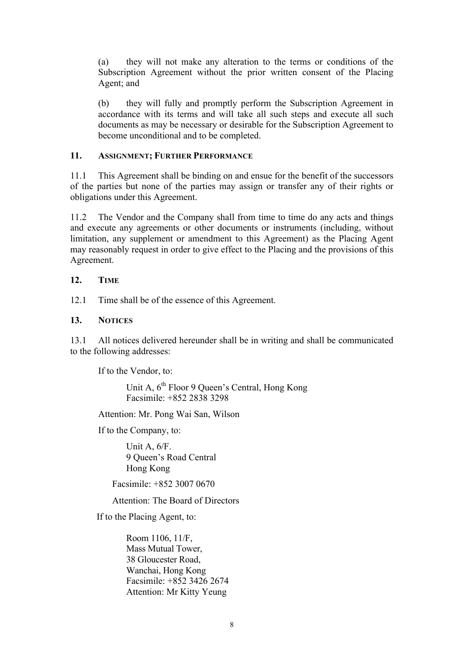(a) they will not make any alteration to the terms or conditions of the Subscription Agreement without the prior written consent of the Placing Agent; and

(b) they will fully and promptly perform the Subscription Agreement in accordance with its terms and will take all such steps and execute all such documents as may be necessary or desirable for the Subscription Agreement to become unconditional and to be completed.

#### **11. ASSIGNMENT; FURTHER PERFORMANCE**

11.1 This Agreement shall be binding on and ensue for the benefit of the successors of the parties but none of the parties may assign or transfer any of their rights or obligations under this Agreement.

11.2 The Vendor and the Company shall from time to time do any acts and things and execute any agreements or other documents or instruments (including, without limitation, any supplement or amendment to this Agreement) as the Placing Agent may reasonably request in order to give effect to the Placing and the provisions of this Agreement.

## **12. TIME**

12.1 Time shall be of the essence of this Agreement.

## **13. NOTICES**

13.1 All notices delivered hereunder shall be in writing and shall be communicated to the following addresses:

If to the Vendor, to:

Unit A,  $6^{th}$  Floor 9 Queen's Central, Hong Kong Facsimile: +852 2838 3298

Attention: Mr. Pong Wai San, Wilson

If to the Company, to:

Unit A, 6/F. 9 Queen's Road Central Hong Kong

Facsimile: +852 3007 0670

Attention: The Board of Directors

If to the Placing Agent, to:

Room 1106, 11/F, Mass Mutual Tower, 38 Gloucester Road, Wanchai, Hong Kong Facsimile: +852 3426 2674 Attention: Mr Kitty Yeung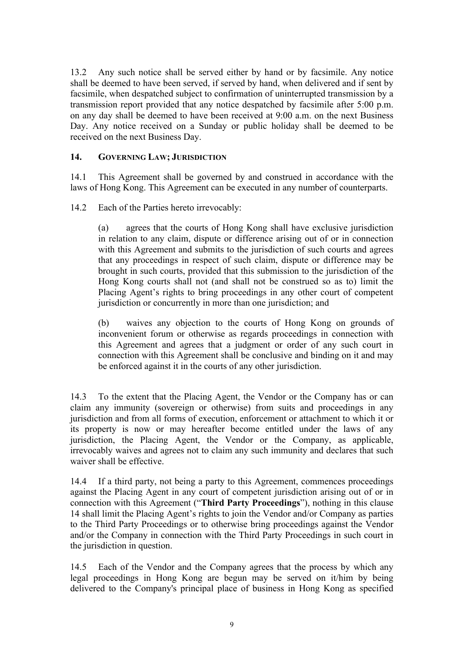13.2 Any such notice shall be served either by hand or by facsimile. Any notice shall be deemed to have been served, if served by hand, when delivered and if sent by facsimile, when despatched subject to confirmation of uninterrupted transmission by a transmission report provided that any notice despatched by facsimile after 5:00 p.m. on any day shall be deemed to have been received at 9:00 a.m. on the next Business Day. Any notice received on a Sunday or public holiday shall be deemed to be received on the next Business Day.

# **14. GOVERNING LAW; JURISDICTION**

14.1 This Agreement shall be governed by and construed in accordance with the laws of Hong Kong. This Agreement can be executed in any number of counterparts.

14.2 Each of the Parties hereto irrevocably:

(a) agrees that the courts of Hong Kong shall have exclusive jurisdiction in relation to any claim, dispute or difference arising out of or in connection with this Agreement and submits to the jurisdiction of such courts and agrees that any proceedings in respect of such claim, dispute or difference may be brought in such courts, provided that this submission to the jurisdiction of the Hong Kong courts shall not (and shall not be construed so as to) limit the Placing Agent's rights to bring proceedings in any other court of competent jurisdiction or concurrently in more than one jurisdiction; and

(b) waives any objection to the courts of Hong Kong on grounds of inconvenient forum or otherwise as regards proceedings in connection with this Agreement and agrees that a judgment or order of any such court in connection with this Agreement shall be conclusive and binding on it and may be enforced against it in the courts of any other jurisdiction.

14.3 To the extent that the Placing Agent, the Vendor or the Company has or can claim any immunity (sovereign or otherwise) from suits and proceedings in any jurisdiction and from all forms of execution, enforcement or attachment to which it or its property is now or may hereafter become entitled under the laws of any jurisdiction, the Placing Agent, the Vendor or the Company, as applicable, irrevocably waives and agrees not to claim any such immunity and declares that such waiver shall be effective.

14.4 If a third party, not being a party to this Agreement, commences proceedings against the Placing Agent in any court of competent jurisdiction arising out of or in connection with this Agreement ("**Third Party Proceedings**"), nothing in this clause 14 shall limit the Placing Agent's rights to join the Vendor and/or Company as parties to the Third Party Proceedings or to otherwise bring proceedings against the Vendor and/or the Company in connection with the Third Party Proceedings in such court in the jurisdiction in question.

14.5 Each of the Vendor and the Company agrees that the process by which any legal proceedings in Hong Kong are begun may be served on it/him by being delivered to the Company's principal place of business in Hong Kong as specified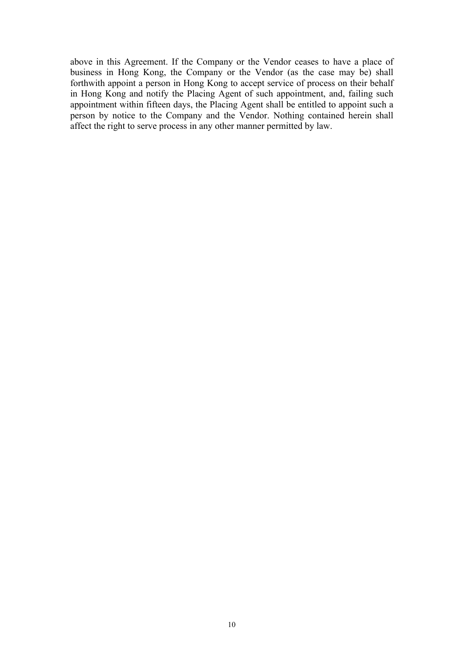above in this Agreement. If the Company or the Vendor ceases to have a place of business in Hong Kong, the Company or the Vendor (as the case may be) shall forthwith appoint a person in Hong Kong to accept service of process on their behalf in Hong Kong and notify the Placing Agent of such appointment, and, failing such appointment within fifteen days, the Placing Agent shall be entitled to appoint such a person by notice to the Company and the Vendor. Nothing contained herein shall affect the right to serve process in any other manner permitted by law.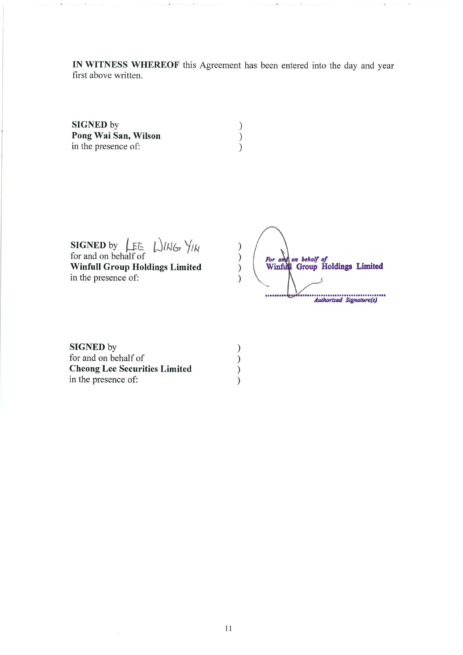IN WITNESS WHEREOF this Agreement has been entered into the day and year first above written.

 $\begin{pmatrix} 1 \\ 2 \end{pmatrix}$ 

 $\begin{pmatrix} 1 \\ 2 \end{pmatrix}$ 

 $\lambda$ 

SIGNED by Pong Wai San, Wilson in the presence of:

**SIGNED** by  $\mathcal{L}_{FE}$   $\mathcal{L}_{M}$  ( $\mathcal{L}_{H}$  for and on behalf of

**Winfull Group Holdings Limited** in the presence of:

 $\big)$  $\left\langle \right\rangle$ For and on behalf of<br>Winfull Group Holdings Limited  $\mathcal{L}$ Authorized Signature(s) .......

**SIGNED** by for and on behalf of **Cheong Lee Securities Limited** in the presence of: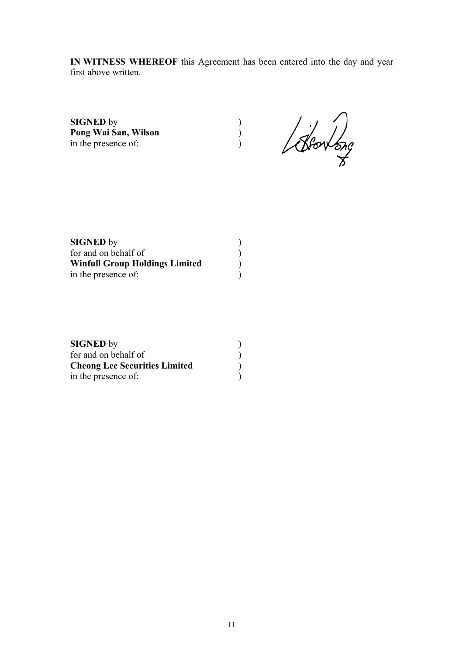**IN WITNESS WHEREOF** this Agreement has been entered into the day and year first above written.

**SIGNED** by <br> **Pong Wai San, Wilson** (b)<br>
in the presence of: (b) **Pong Wai San, Wilson** ) in the presence of:

Blow ong

| <b>SIGNED</b> by                      |  |
|---------------------------------------|--|
| for and on behalf of                  |  |
| <b>Winfull Group Holdings Limited</b> |  |
| in the presence of:                   |  |

| <b>SIGNED</b> by                     |  |
|--------------------------------------|--|
| for and on behalf of                 |  |
| <b>Cheong Lee Securities Limited</b> |  |
| in the presence of:                  |  |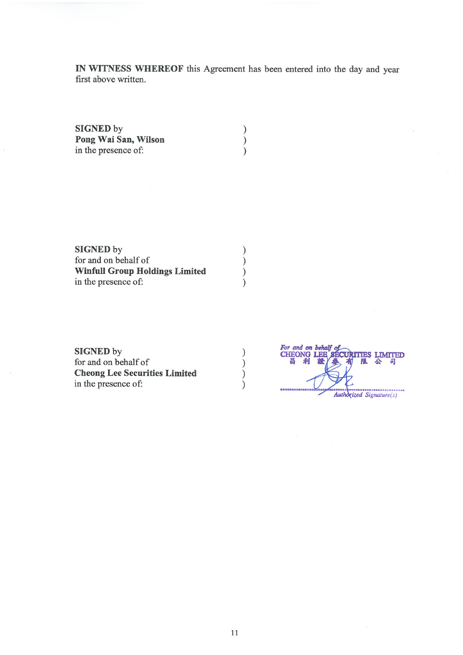IN WITNESS WHEREOF this Agreement has been entered into the day and year first above written.

 $\left\{ \right\}$ 

 $\overline{\mathcal{L}}$ 

 $\mathcal{C}$ 

 $\left(\begin{array}{c} 1 \\ 0 \end{array}\right)$ 

 $\tilde{)}$ 

 $\mathcal{C}$ 

 $\overline{\mathcal{L}}$ 

 $\overline{\mathcal{L}}$ 

 $\mathcal{E}$ 

**SIGNED by** Pong Wai San, Wilson in the presence of:

**SIGNED** by for and on behalf of **Winfull Group Holdings Limited** in the presence of:

**SIGNED** by for and on behalf of **Cheong Lee Securities Limited** in the presence of:

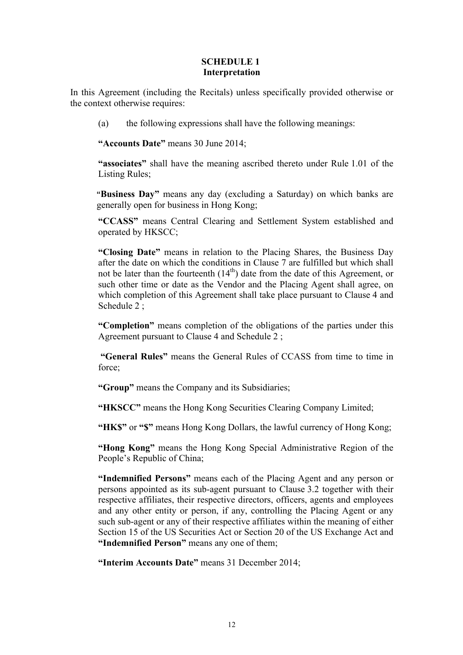### **SCHEDULE 1 Interpretation**

In this Agreement (including the Recitals) unless specifically provided otherwise or the context otherwise requires:

(a) the following expressions shall have the following meanings:

**"Accounts Date"** means 30 June 2014;

**"associates"** shall have the meaning ascribed thereto under Rule 1.01 of the Listing Rules;

**"Business Day"** means any day (excluding a Saturday) on which banks are generally open for business in Hong Kong;

**"CCASS"** means Central Clearing and Settlement System established and operated by HKSCC;

**"Closing Date"** means in relation to the Placing Shares, the Business Day after the date on which the conditions in Clause 7 are fulfilled but which shall not be later than the fourteenth  $(14<sup>th</sup>)$  date from the date of this Agreement, or such other time or date as the Vendor and the Placing Agent shall agree, on which completion of this Agreement shall take place pursuant to Clause 4 and Schedule 2:

**"Completion"** means completion of the obligations of the parties under this Agreement pursuant to Clause 4 and Schedule 2 ;

**"General Rules"** means the General Rules of CCASS from time to time in force;

**"Group"** means the Company and its Subsidiaries;

**"HKSCC"** means the Hong Kong Securities Clearing Company Limited;

**"HK\$"** or **"\$"** means Hong Kong Dollars, the lawful currency of Hong Kong;

**"Hong Kong"** means the Hong Kong Special Administrative Region of the People's Republic of China;

**"Indemnified Persons"** means each of the Placing Agent and any person or persons appointed as its sub-agent pursuant to Clause 3.2 together with their respective affiliates, their respective directors, officers, agents and employees and any other entity or person, if any, controlling the Placing Agent or any such sub-agent or any of their respective affiliates within the meaning of either Section 15 of the US Securities Act or Section 20 of the US Exchange Act and **"Indemnified Person"** means any one of them;

**"Interim Accounts Date"** means 31 December 2014;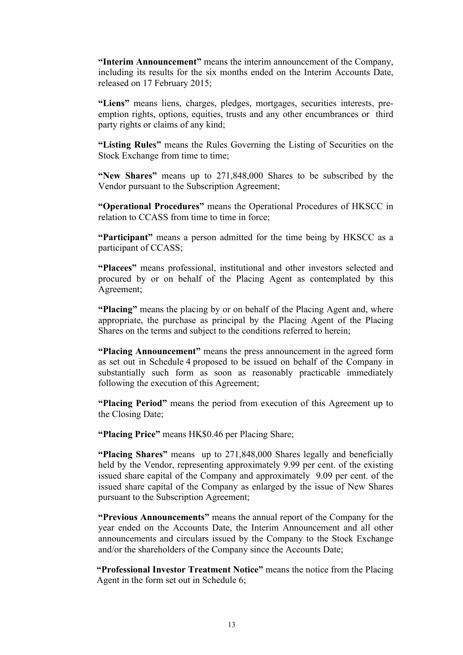**"Interim Announcement"** means the interim announcement of the Company, including its results for the six months ended on the Interim Accounts Date, released on 17 February 2015;

**"Liens"** means liens, charges, pledges, mortgages, securities interests, preemption rights, options, equities, trusts and any other encumbrances or third party rights or claims of any kind;

**"Listing Rules"** means the Rules Governing the Listing of Securities on the Stock Exchange from time to time;

**"New Shares"** means up to 271,848,000 Shares to be subscribed by the Vendor pursuant to the Subscription Agreement;

**"Operational Procedures"** means the Operational Procedures of HKSCC in relation to CCASS from time to time in force;

**"Participant"** means a person admitted for the time being by HKSCC as a participant of CCASS;

**"Placees"** means professional, institutional and other investors selected and procured by or on behalf of the Placing Agent as contemplated by this Agreement;

**"Placing"** means the placing by or on behalf of the Placing Agent and, where appropriate, the purchase as principal by the Placing Agent of the Placing Shares on the terms and subject to the conditions referred to herein;

**"Placing Announcement"** means the press announcement in the agreed form as set out in Schedule 4 proposed to be issued on behalf of the Company in substantially such form as soon as reasonably practicable immediately following the execution of this Agreement;

**"Placing Period"** means the period from execution of this Agreement up to the Closing Date;

**"Placing Price"** means HK\$0.46 per Placing Share;

**"Placing Shares"** means up to 271,848,000 Shares legally and beneficially held by the Vendor, representing approximately 9.99 per cent. of the existing issued share capital of the Company and approximately 9.09 per cent. of the issued share capital of the Company as enlarged by the issue of New Shares pursuant to the Subscription Agreement;

**"Previous Announcements"** means the annual report of the Company for the year ended on the Accounts Date, the Interim Announcement and all other announcements and circulars issued by the Company to the Stock Exchange and/or the shareholders of the Company since the Accounts Date;

**"Professional Investor Treatment Notice"** means the notice from the Placing Agent in the form set out in Schedule 6;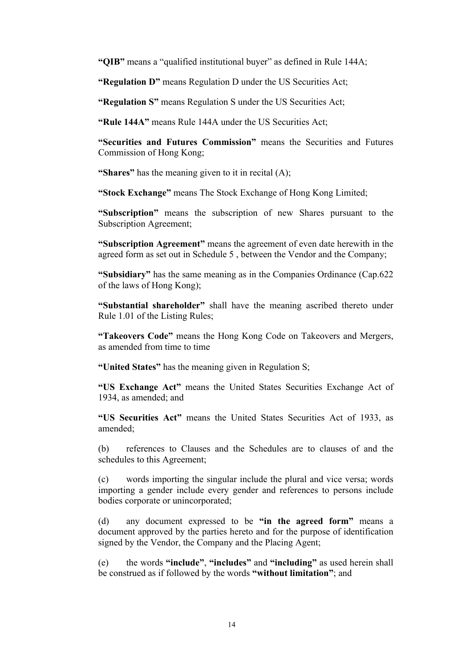**"QIB"** means a "qualified institutional buyer" as defined in Rule 144A;

**"Regulation D"** means Regulation D under the US Securities Act;

**"Regulation S"** means Regulation S under the US Securities Act;

**"Rule 144A"** means Rule 144A under the US Securities Act;

**"Securities and Futures Commission"** means the Securities and Futures Commission of Hong Kong;

**"Shares"** has the meaning given to it in recital (A);

**"Stock Exchange"** means The Stock Exchange of Hong Kong Limited;

**"Subscription"** means the subscription of new Shares pursuant to the Subscription Agreement;

**"Subscription Agreement"** means the agreement of even date herewith in the agreed form as set out in Schedule 5 , between the Vendor and the Company;

**"Subsidiary"** has the same meaning as in the Companies Ordinance (Cap.622 of the laws of Hong Kong);

**"Substantial shareholder"** shall have the meaning ascribed thereto under Rule 1.01 of the Listing Rules;

**"Takeovers Code"** means the Hong Kong Code on Takeovers and Mergers, as amended from time to time

**"United States"** has the meaning given in Regulation S;

**"US Exchange Act"** means the United States Securities Exchange Act of 1934, as amended; and

**"US Securities Act"** means the United States Securities Act of 1933, as amended;

(b) references to Clauses and the Schedules are to clauses of and the schedules to this Agreement;

(c) words importing the singular include the plural and vice versa; words importing a gender include every gender and references to persons include bodies corporate or unincorporated;

(d) any document expressed to be **"in the agreed form"** means a document approved by the parties hereto and for the purpose of identification signed by the Vendor, the Company and the Placing Agent;

(e) the words **"include"**, **"includes"** and **"including"** as used herein shall be construed as if followed by the words **"without limitation"**; and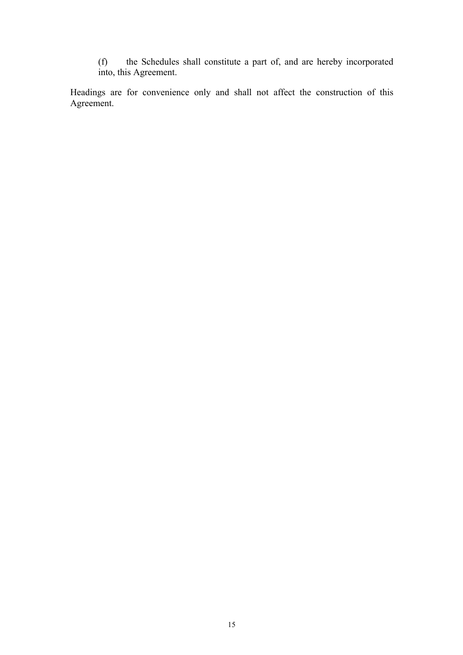(f) the Schedules shall constitute a part of, and are hereby incorporated into, this Agreement.

Headings are for convenience only and shall not affect the construction of this Agreement.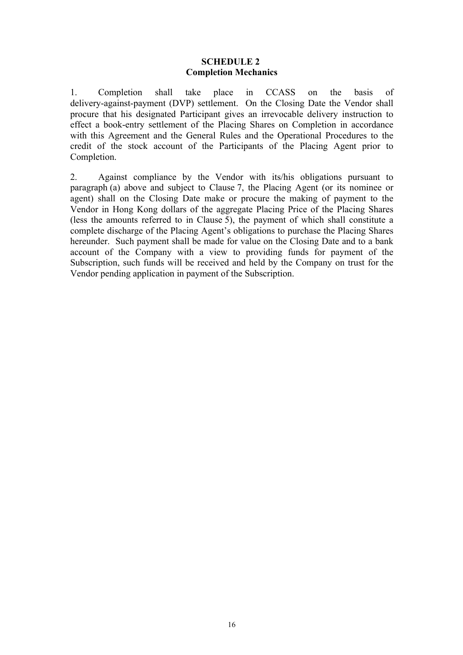### **SCHEDULE 2 Completion Mechanics**

1. Completion shall take place in CCASS on the basis of delivery-against-payment (DVP) settlement. On the Closing Date the Vendor shall procure that his designated Participant gives an irrevocable delivery instruction to effect a book-entry settlement of the Placing Shares on Completion in accordance with this Agreement and the General Rules and the Operational Procedures to the credit of the stock account of the Participants of the Placing Agent prior to Completion.

2. Against compliance by the Vendor with its/his obligations pursuant to paragraph (a) above and subject to Clause 7, the Placing Agent (or its nominee or agent) shall on the Closing Date make or procure the making of payment to the Vendor in Hong Kong dollars of the aggregate Placing Price of the Placing Shares (less the amounts referred to in Clause 5), the payment of which shall constitute a complete discharge of the Placing Agent's obligations to purchase the Placing Shares hereunder. Such payment shall be made for value on the Closing Date and to a bank account of the Company with a view to providing funds for payment of the Subscription, such funds will be received and held by the Company on trust for the Vendor pending application in payment of the Subscription.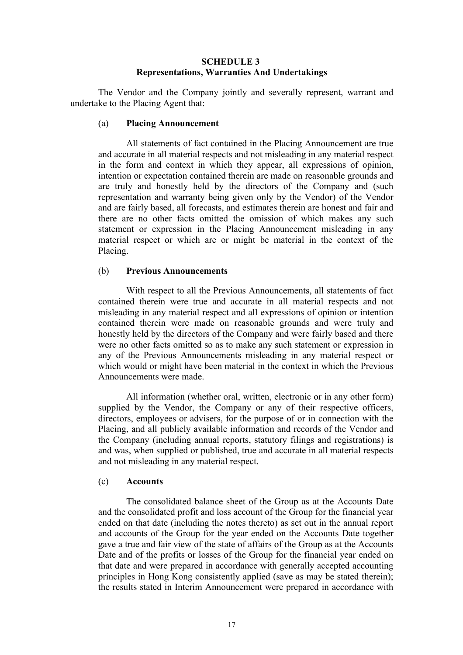#### **SCHEDULE 3 Representations, Warranties And Undertakings**

The Vendor and the Company jointly and severally represent, warrant and undertake to the Placing Agent that:

#### (a) **Placing Announcement**

All statements of fact contained in the Placing Announcement are true and accurate in all material respects and not misleading in any material respect in the form and context in which they appear, all expressions of opinion, intention or expectation contained therein are made on reasonable grounds and are truly and honestly held by the directors of the Company and (such representation and warranty being given only by the Vendor) of the Vendor and are fairly based, all forecasts, and estimates therein are honest and fair and there are no other facts omitted the omission of which makes any such statement or expression in the Placing Announcement misleading in any material respect or which are or might be material in the context of the Placing.

### (b) **Previous Announcements**

With respect to all the Previous Announcements, all statements of fact contained therein were true and accurate in all material respects and not misleading in any material respect and all expressions of opinion or intention contained therein were made on reasonable grounds and were truly and honestly held by the directors of the Company and were fairly based and there were no other facts omitted so as to make any such statement or expression in any of the Previous Announcements misleading in any material respect or which would or might have been material in the context in which the Previous Announcements were made.

All information (whether oral, written, electronic or in any other form) supplied by the Vendor, the Company or any of their respective officers, directors, employees or advisers, for the purpose of or in connection with the Placing, and all publicly available information and records of the Vendor and the Company (including annual reports, statutory filings and registrations) is and was, when supplied or published, true and accurate in all material respects and not misleading in any material respect.

## (c) **Accounts**

The consolidated balance sheet of the Group as at the Accounts Date and the consolidated profit and loss account of the Group for the financial year ended on that date (including the notes thereto) as set out in the annual report and accounts of the Group for the year ended on the Accounts Date together gave a true and fair view of the state of affairs of the Group as at the Accounts Date and of the profits or losses of the Group for the financial year ended on that date and were prepared in accordance with generally accepted accounting principles in Hong Kong consistently applied (save as may be stated therein); the results stated in Interim Announcement were prepared in accordance with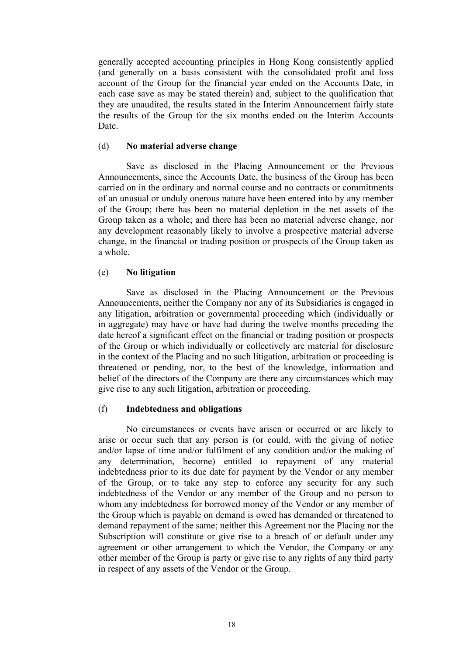generally accepted accounting principles in Hong Kong consistently applied (and generally on a basis consistent with the consolidated profit and loss account of the Group for the financial year ended on the Accounts Date, in each case save as may be stated therein) and, subject to the qualification that they are unaudited, the results stated in the Interim Announcement fairly state the results of the Group for the six months ended on the Interim Accounts Date.

#### (d) **No material adverse change**

Save as disclosed in the Placing Announcement or the Previous Announcements, since the Accounts Date, the business of the Group has been carried on in the ordinary and normal course and no contracts or commitments of an unusual or unduly onerous nature have been entered into by any member of the Group; there has been no material depletion in the net assets of the Group taken as a whole; and there has been no material adverse change, nor any development reasonably likely to involve a prospective material adverse change, in the financial or trading position or prospects of the Group taken as a whole.

### (e) **No litigation**

Save as disclosed in the Placing Announcement or the Previous Announcements, neither the Company nor any of its Subsidiaries is engaged in any litigation, arbitration or governmental proceeding which (individually or in aggregate) may have or have had during the twelve months preceding the date hereof a significant effect on the financial or trading position or prospects of the Group or which individually or collectively are material for disclosure in the context of the Placing and no such litigation, arbitration or proceeding is threatened or pending, nor, to the best of the knowledge, information and belief of the directors of the Company are there any circumstances which may give rise to any such litigation, arbitration or proceeding.

### (f) **Indebtedness and obligations**

No circumstances or events have arisen or occurred or are likely to arise or occur such that any person is (or could, with the giving of notice and/or lapse of time and/or fulfilment of any condition and/or the making of any determination, become) entitled to repayment of any material indebtedness prior to its due date for payment by the Vendor or any member of the Group, or to take any step to enforce any security for any such indebtedness of the Vendor or any member of the Group and no person to whom any indebtedness for borrowed money of the Vendor or any member of the Group which is payable on demand is owed has demanded or threatened to demand repayment of the same; neither this Agreement nor the Placing nor the Subscription will constitute or give rise to a breach of or default under any agreement or other arrangement to which the Vendor, the Company or any other member of the Group is party or give rise to any rights of any third party in respect of any assets of the Vendor or the Group.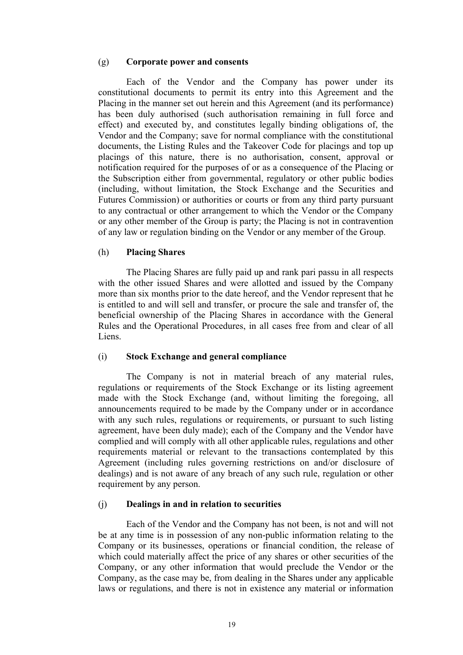#### (g) **Corporate power and consents**

Each of the Vendor and the Company has power under its constitutional documents to permit its entry into this Agreement and the Placing in the manner set out herein and this Agreement (and its performance) has been duly authorised (such authorisation remaining in full force and effect) and executed by, and constitutes legally binding obligations of, the Vendor and the Company; save for normal compliance with the constitutional documents, the Listing Rules and the Takeover Code for placings and top up placings of this nature, there is no authorisation, consent, approval or notification required for the purposes of or as a consequence of the Placing or the Subscription either from governmental, regulatory or other public bodies (including, without limitation, the Stock Exchange and the Securities and Futures Commission) or authorities or courts or from any third party pursuant to any contractual or other arrangement to which the Vendor or the Company or any other member of the Group is party; the Placing is not in contravention of any law or regulation binding on the Vendor or any member of the Group.

#### (h) **Placing Shares**

The Placing Shares are fully paid up and rank pari passu in all respects with the other issued Shares and were allotted and issued by the Company more than six months prior to the date hereof, and the Vendor represent that he is entitled to and will sell and transfer, or procure the sale and transfer of, the beneficial ownership of the Placing Shares in accordance with the General Rules and the Operational Procedures, in all cases free from and clear of all Liens.

### (i) **Stock Exchange and general compliance**

The Company is not in material breach of any material rules, regulations or requirements of the Stock Exchange or its listing agreement made with the Stock Exchange (and, without limiting the foregoing, all announcements required to be made by the Company under or in accordance with any such rules, regulations or requirements, or pursuant to such listing agreement, have been duly made); each of the Company and the Vendor have complied and will comply with all other applicable rules, regulations and other requirements material or relevant to the transactions contemplated by this Agreement (including rules governing restrictions on and/or disclosure of dealings) and is not aware of any breach of any such rule, regulation or other requirement by any person.

### (j) **Dealings in and in relation to securities**

Each of the Vendor and the Company has not been, is not and will not be at any time is in possession of any non-public information relating to the Company or its businesses, operations or financial condition, the release of which could materially affect the price of any shares or other securities of the Company, or any other information that would preclude the Vendor or the Company, as the case may be, from dealing in the Shares under any applicable laws or regulations, and there is not in existence any material or information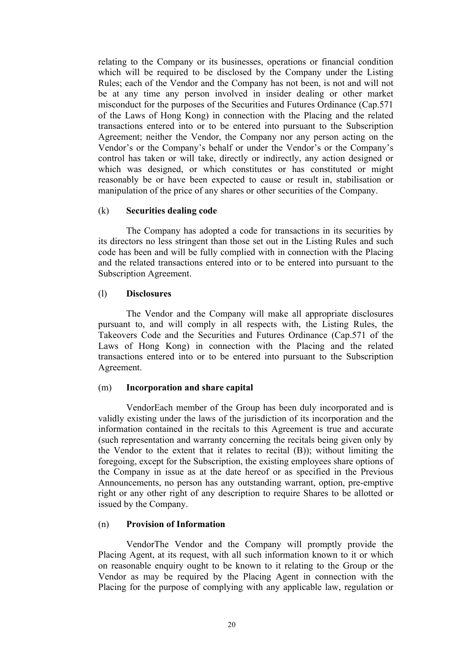relating to the Company or its businesses, operations or financial condition which will be required to be disclosed by the Company under the Listing Rules; each of the Vendor and the Company has not been, is not and will not be at any time any person involved in insider dealing or other market misconduct for the purposes of the Securities and Futures Ordinance (Cap.571 of the Laws of Hong Kong) in connection with the Placing and the related transactions entered into or to be entered into pursuant to the Subscription Agreement; neither the Vendor, the Company nor any person acting on the Vendor's or the Company's behalf or under the Vendor's or the Company's control has taken or will take, directly or indirectly, any action designed or which was designed, or which constitutes or has constituted or might reasonably be or have been expected to cause or result in, stabilisation or manipulation of the price of any shares or other securities of the Company.

#### (k) **Securities dealing code**

The Company has adopted a code for transactions in its securities by its directors no less stringent than those set out in the Listing Rules and such code has been and will be fully complied with in connection with the Placing and the related transactions entered into or to be entered into pursuant to the Subscription Agreement.

#### (l) **Disclosures**

The Vendor and the Company will make all appropriate disclosures pursuant to, and will comply in all respects with, the Listing Rules, the Takeovers Code and the Securities and Futures Ordinance (Cap.571 of the Laws of Hong Kong) in connection with the Placing and the related transactions entered into or to be entered into pursuant to the Subscription Agreement.

#### (m) **Incorporation and share capital**

VendorEach member of the Group has been duly incorporated and is validly existing under the laws of the jurisdiction of its incorporation and the information contained in the recitals to this Agreement is true and accurate (such representation and warranty concerning the recitals being given only by the Vendor to the extent that it relates to recital (B)); without limiting the foregoing, except for the Subscription, the existing employees share options of the Company in issue as at the date hereof or as specified in the Previous Announcements, no person has any outstanding warrant, option, pre-emptive right or any other right of any description to require Shares to be allotted or issued by the Company.

#### (n) **Provision of Information**

VendorThe Vendor and the Company will promptly provide the Placing Agent, at its request, with all such information known to it or which on reasonable enquiry ought to be known to it relating to the Group or the Vendor as may be required by the Placing Agent in connection with the Placing for the purpose of complying with any applicable law, regulation or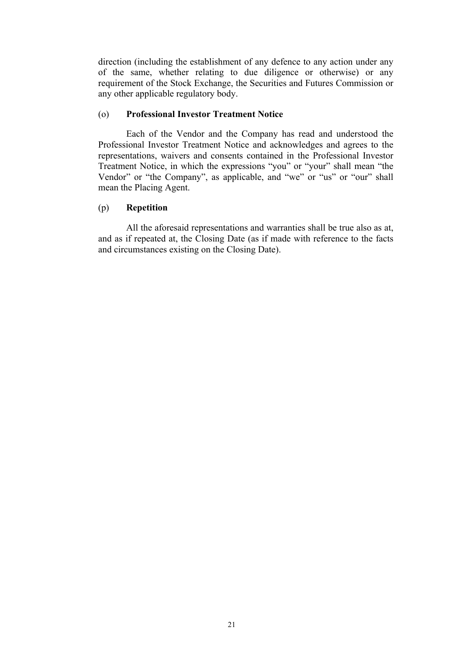direction (including the establishment of any defence to any action under any of the same, whether relating to due diligence or otherwise) or any requirement of the Stock Exchange, the Securities and Futures Commission or any other applicable regulatory body.

## (o) **Professional Investor Treatment Notice**

Each of the Vendor and the Company has read and understood the Professional Investor Treatment Notice and acknowledges and agrees to the representations, waivers and consents contained in the Professional Investor Treatment Notice, in which the expressions "you" or "your" shall mean "the Vendor" or "the Company", as applicable, and "we" or "us" or "our" shall mean the Placing Agent.

## (p) **Repetition**

All the aforesaid representations and warranties shall be true also as at, and as if repeated at, the Closing Date (as if made with reference to the facts and circumstances existing on the Closing Date).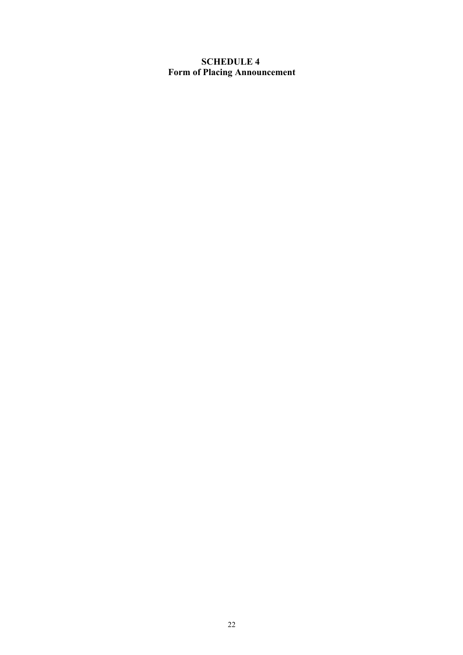# **SCHEDULE 4 Form of Placing Announcement**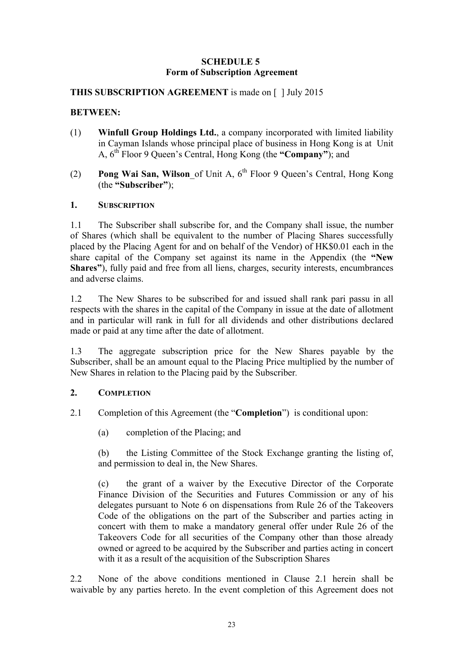## **SCHEDULE 5 Form of Subscription Agreement**

## **THIS SUBSCRIPTION AGREEMENT** is made on [ ] July 2015

## **BETWEEN:**

- (1) **Winfull Group Holdings Ltd.**, a company incorporated with limited liability in Cayman Islands whose principal place of business in Hong Kong is at Unit A, 6th Floor 9 Queen's Central, Hong Kong (the **"Company"**); and
- (2) **Pong Wai San, Wilson**\_of Unit A, 6th Floor 9 Queen's Central, Hong Kong (the **"Subscriber"**);

### **1. SUBSCRIPTION**

1.1 The Subscriber shall subscribe for, and the Company shall issue, the number of Shares (which shall be equivalent to the number of Placing Shares successfully placed by the Placing Agent for and on behalf of the Vendor) of HK\$0.01 each in the share capital of the Company set against its name in the Appendix (the **"New Shares"**), fully paid and free from all liens, charges, security interests, encumbrances and adverse claims.

1.2 The New Shares to be subscribed for and issued shall rank pari passu in all respects with the shares in the capital of the Company in issue at the date of allotment and in particular will rank in full for all dividends and other distributions declared made or paid at any time after the date of allotment.

1.3 The aggregate subscription price for the New Shares payable by the Subscriber, shall be an amount equal to the Placing Price multiplied by the number of New Shares in relation to the Placing paid by the Subscriber*.*

# **2. COMPLETION**

- 2.1 Completion of this Agreement (the "**Completion**") is conditional upon:
	- (a) completion of the Placing; and

(b) the Listing Committee of the Stock Exchange granting the listing of, and permission to deal in, the New Shares.

(c) the grant of a waiver by the Executive Director of the Corporate Finance Division of the Securities and Futures Commission or any of his delegates pursuant to Note 6 on dispensations from Rule 26 of the Takeovers Code of the obligations on the part of the Subscriber and parties acting in concert with them to make a mandatory general offer under Rule 26 of the Takeovers Code for all securities of the Company other than those already owned or agreed to be acquired by the Subscriber and parties acting in concert with it as a result of the acquisition of the Subscription Shares

2.2 None of the above conditions mentioned in Clause 2.1 herein shall be waivable by any parties hereto. In the event completion of this Agreement does not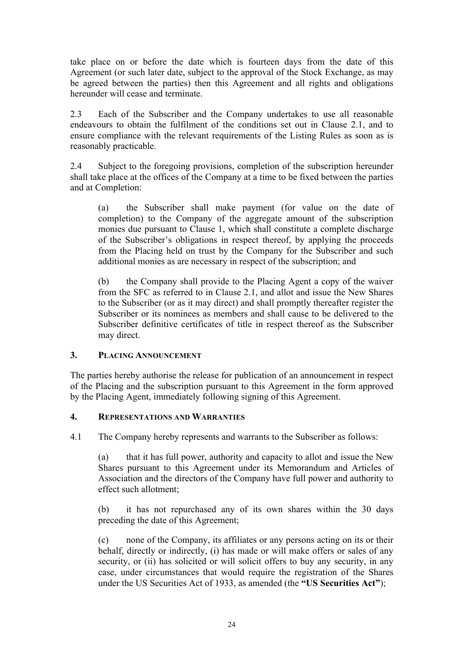take place on or before the date which is fourteen days from the date of this Agreement (or such later date, subject to the approval of the Stock Exchange, as may be agreed between the parties) then this Agreement and all rights and obligations hereunder will cease and terminate.

2.3 Each of the Subscriber and the Company undertakes to use all reasonable endeavours to obtain the fulfilment of the conditions set out in Clause 2.1, and to ensure compliance with the relevant requirements of the Listing Rules as soon as is reasonably practicable.

2.4 Subject to the foregoing provisions, completion of the subscription hereunder shall take place at the offices of the Company at a time to be fixed between the parties and at Completion:

(a) the Subscriber shall make payment (for value on the date of completion) to the Company of the aggregate amount of the subscription monies due pursuant to Clause 1, which shall constitute a complete discharge of the Subscriber's obligations in respect thereof, by applying the proceeds from the Placing held on trust by the Company for the Subscriber and such additional monies as are necessary in respect of the subscription; and

(b) the Company shall provide to the Placing Agent a copy of the waiver from the SFC as referred to in Clause 2.1, and allot and issue the New Shares to the Subscriber (or as it may direct) and shall promptly thereafter register the Subscriber or its nominees as members and shall cause to be delivered to the Subscriber definitive certificates of title in respect thereof as the Subscriber may direct.

# **3. PLACING ANNOUNCEMENT**

The parties hereby authorise the release for publication of an announcement in respect of the Placing and the subscription pursuant to this Agreement in the form approved by the Placing Agent, immediately following signing of this Agreement.

# **4. REPRESENTATIONS AND WARRANTIES**

4.1 The Company hereby represents and warrants to the Subscriber as follows:

(a) that it has full power, authority and capacity to allot and issue the New Shares pursuant to this Agreement under its Memorandum and Articles of Association and the directors of the Company have full power and authority to effect such allotment;

(b) it has not repurchased any of its own shares within the 30 days preceding the date of this Agreement;

(c) none of the Company, its affiliates or any persons acting on its or their behalf, directly or indirectly, (i) has made or will make offers or sales of any security, or (ii) has solicited or will solicit offers to buy any security, in any case, under circumstances that would require the registration of the Shares under the US Securities Act of 1933, as amended (the **"US Securities Act"**);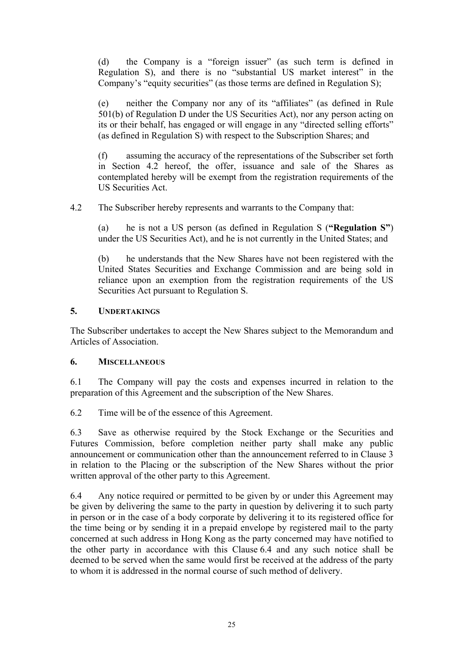(d) the Company is a "foreign issuer" (as such term is defined in Regulation S), and there is no "substantial US market interest" in the Company's "equity securities" (as those terms are defined in Regulation S);

(e) neither the Company nor any of its "affiliates" (as defined in Rule 501(b) of Regulation D under the US Securities Act), nor any person acting on its or their behalf, has engaged or will engage in any "directed selling efforts" (as defined in Regulation S) with respect to the Subscription Shares; and

(f) assuming the accuracy of the representations of the Subscriber set forth in Section 4.2 hereof, the offer, issuance and sale of the Shares as contemplated hereby will be exempt from the registration requirements of the US Securities Act.

4.2 The Subscriber hereby represents and warrants to the Company that:

(a) he is not a US person (as defined in Regulation S (**"Regulation S"**) under the US Securities Act), and he is not currently in the United States; and

(b) he understands that the New Shares have not been registered with the United States Securities and Exchange Commission and are being sold in reliance upon an exemption from the registration requirements of the US Securities Act pursuant to Regulation S.

# **5. UNDERTAKINGS**

The Subscriber undertakes to accept the New Shares subject to the Memorandum and Articles of Association.

### **6. MISCELLANEOUS**

6.1 The Company will pay the costs and expenses incurred in relation to the preparation of this Agreement and the subscription of the New Shares.

6.2 Time will be of the essence of this Agreement.

6.3 Save as otherwise required by the Stock Exchange or the Securities and Futures Commission, before completion neither party shall make any public announcement or communication other than the announcement referred to in Clause 3 in relation to the Placing or the subscription of the New Shares without the prior written approval of the other party to this Agreement.

6.4 Any notice required or permitted to be given by or under this Agreement may be given by delivering the same to the party in question by delivering it to such party in person or in the case of a body corporate by delivering it to its registered office for the time being or by sending it in a prepaid envelope by registered mail to the party concerned at such address in Hong Kong as the party concerned may have notified to the other party in accordance with this Clause 6.4 and any such notice shall be deemed to be served when the same would first be received at the address of the party to whom it is addressed in the normal course of such method of delivery.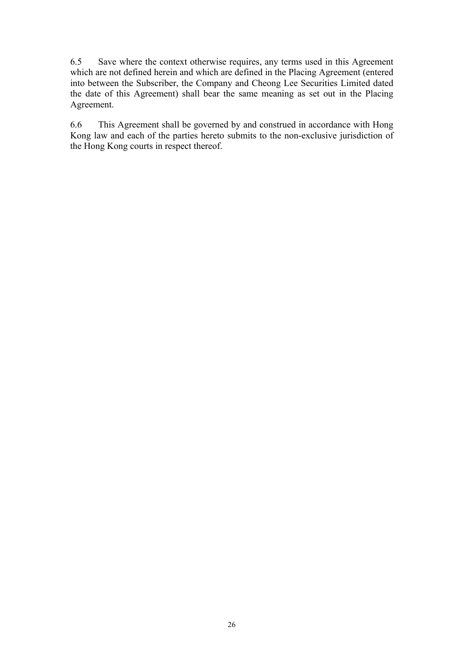6.5 Save where the context otherwise requires, any terms used in this Agreement which are not defined herein and which are defined in the Placing Agreement (entered into between the Subscriber, the Company and Cheong Lee Securities Limited dated the date of this Agreement) shall bear the same meaning as set out in the Placing Agreement.

6.6 This Agreement shall be governed by and construed in accordance with Hong Kong law and each of the parties hereto submits to the non-exclusive jurisdiction of the Hong Kong courts in respect thereof.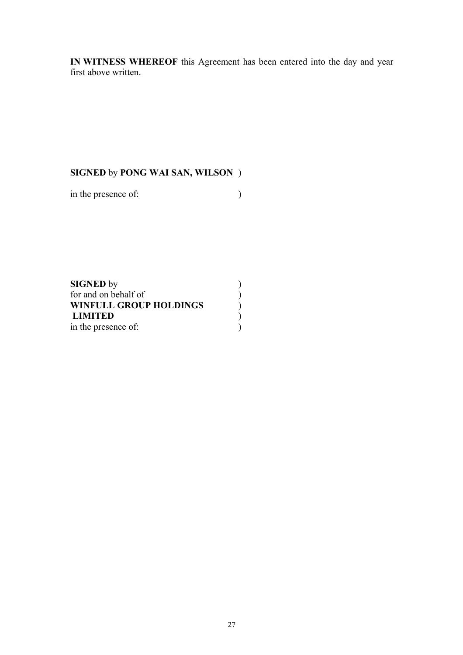**IN WITNESS WHEREOF** this Agreement has been entered into the day and year first above written.

# **SIGNED** by **PONG WAI SAN, WILSON** )

in the presence of:  $\qquad \qquad$  )

| <b>SIGNED</b> by              |  |
|-------------------------------|--|
| for and on behalf of          |  |
| <b>WINFULL GROUP HOLDINGS</b> |  |
| <b>LIMITED</b>                |  |
| in the presence of:           |  |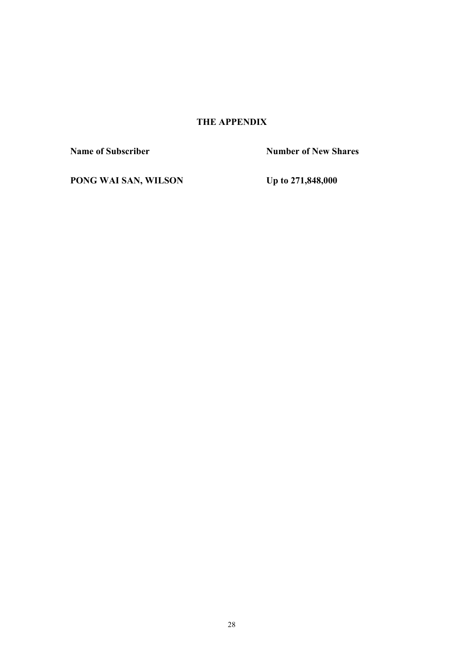# **THE APPENDIX**

**Name of Subscriber Number of New Shares** 

**PONG WAI SAN, WILSON Up to 271,848,000**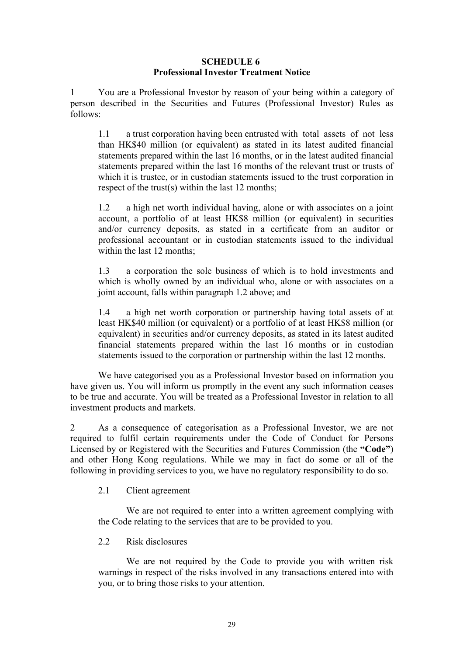### **SCHEDULE 6 Professional Investor Treatment Notice**

1 You are a Professional Investor by reason of your being within a category of person described in the Securities and Futures (Professional Investor) Rules as follows:

1.1 a trust corporation having been entrusted with total assets of not less than HK\$40 million (or equivalent) as stated in its latest audited financial statements prepared within the last 16 months, or in the latest audited financial statements prepared within the last 16 months of the relevant trust or trusts of which it is trustee, or in custodian statements issued to the trust corporation in respect of the trust(s) within the last 12 months;

1.2 a high net worth individual having, alone or with associates on a joint account, a portfolio of at least HK\$8 million (or equivalent) in securities and/or currency deposits, as stated in a certificate from an auditor or professional accountant or in custodian statements issued to the individual within the last 12 months:

1.3 a corporation the sole business of which is to hold investments and which is wholly owned by an individual who, alone or with associates on a joint account, falls within paragraph 1.2 above; and

1.4 a high net worth corporation or partnership having total assets of at least HK\$40 million (or equivalent) or a portfolio of at least HK\$8 million (or equivalent) in securities and/or currency deposits, as stated in its latest audited financial statements prepared within the last 16 months or in custodian statements issued to the corporation or partnership within the last 12 months.

We have categorised you as a Professional Investor based on information you have given us. You will inform us promptly in the event any such information ceases to be true and accurate. You will be treated as a Professional Investor in relation to all investment products and markets.

2 As a consequence of categorisation as a Professional Investor, we are not required to fulfil certain requirements under the Code of Conduct for Persons Licensed by or Registered with the Securities and Futures Commission (the **"Code"**) and other Hong Kong regulations. While we may in fact do some or all of the following in providing services to you, we have no regulatory responsibility to do so.

2.1 Client agreement

We are not required to enter into a written agreement complying with the Code relating to the services that are to be provided to you.

2.2 Risk disclosures

We are not required by the Code to provide you with written risk warnings in respect of the risks involved in any transactions entered into with you, or to bring those risks to your attention.